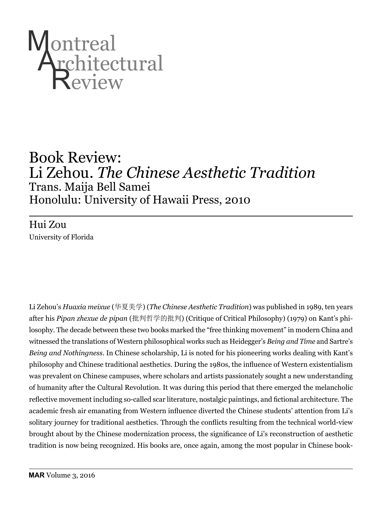

## Book Review: Li Zehou. *The Chinese Aesthetic Tradition*  Trans. Maija Bell Samei Honolulu: University of Hawaii Press, 2010

Hui Zou University of Florida

Li Zehou's *Huaxia meixue* (华夏美学) (*The Chinese Aesthetic Tradition*) was published in 1989, ten years after his *Pipan zhexue de pipan* (批判哲学的批判) (Critique of Critical Philosophy) (1979) on Kant's philosophy. The decade between these two books marked the "free thinking movement" in modern China and witnessed the translations of Western philosophical works such as Heidegger's *Being and Time* and Sartre's *Being and Nothingness*. In Chinese scholarship, Li is noted for his pioneering works dealing with Kant's philosophy and Chinese traditional aesthetics. During the 1980s, the influence of Western existentialism was prevalent on Chinese campuses, where scholars and artists passionately sought a new understanding of humanity after the Cultural Revolution. It was during this period that there emerged the melancholic reflective movement including so-called scar literature, nostalgic paintings, and fictional architecture. The academic fresh air emanating from Western influence diverted the Chinese students' attention from Li's solitary journey for traditional aesthetics. Through the conflicts resulting from the technical world-view brought about by the Chinese modernization process, the significance of Li's reconstruction of aesthetic tradition is now being recognized. His books are, once again, among the most popular in Chinese book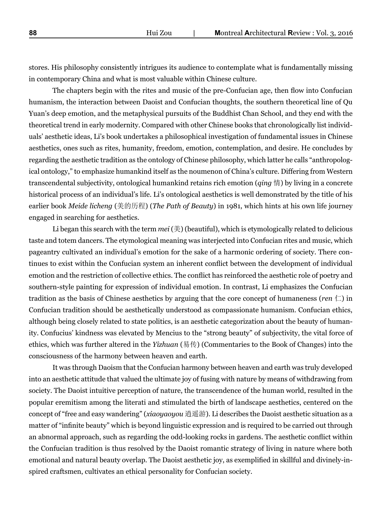stores. His philosophy consistently intrigues its audience to contemplate what is fundamentally missing in contemporary China and what is most valuable within Chinese culture.

The chapters begin with the rites and music of the pre-Confucian age, then flow into Confucian humanism, the interaction between Daoist and Confucian thoughts, the southern theoretical line of Qu Yuan's deep emotion, and the metaphysical pursuits of the Buddhist Chan School, and they end with the theoretical trend in early modernity. Compared with other Chinese books that chronologically list individuals' aesthetic ideas, Li's book undertakes a philosophical investigation of fundamental issues in Chinese aesthetics, ones such as rites, humanity, freedom, emotion, contemplation, and desire. He concludes by regarding the aesthetic tradition as the ontology of Chinese philosophy, which latter he calls "anthropological ontology," to emphasize humankind itself as the noumenon of China's culture. Differing from Western transcendental subjectivity, ontological humankind retains rich emotion (*qing* 情) by living in a concrete historical process of an individual's life. Li's ontological aesthetics is well demonstrated by the title of his earlier book *Meide licheng* (美的历程) (*The Path of Beauty*) in 1981, which hints at his own life journey engaged in searching for aesthetics.

Li began this search with the term *mei* (美) (beautiful), which is etymologically related to delicious taste and totem dancers. The etymological meaning was interjected into Confucian rites and music, which pageantry cultivated an individual's emotion for the sake of a harmonic ordering of society. There continues to exist within the Confucian system an inherent conflict between the development of individual emotion and the restriction of collective ethics. The conflict has reinforced the aesthetic role of poetry and southern-style painting for expression of individual emotion. In contrast, Li emphasizes the Confucian tradition as the basis of Chinese aesthetics by arguing that the core concept of humaneness (*ren* 仁) in Confucian tradition should be aesthetically understood as compassionate humanism. Confucian ethics, although being closely related to state politics, is an aesthetic categorization about the beauty of humanity. Confucius' kindness was elevated by Mencius to the "strong beauty" of subjectivity, the vital force of ethics, which was further altered in the *Yizhuan* (易传) (Commentaries to the Book of Changes) into the consciousness of the harmony between heaven and earth.

It was through Daoism that the Confucian harmony between heaven and earth was truly developed into an aesthetic attitude that valued the ultimate joy of fusing with nature by means of withdrawing from society. The Daoist intuitive perception of nature, the transcendence of the human world, resulted in the popular eremitism among the literati and stimulated the birth of landscape aesthetics, centered on the concept of "free and easy wandering" (*xiaoyaoyou* 逍遥游). Li describes the Daoist aesthetic situation as a matter of "infinite beauty" which is beyond linguistic expression and is required to be carried out through an abnormal approach, such as regarding the odd-looking rocks in gardens. The aesthetic conflict within the Confucian tradition is thus resolved by the Daoist romantic strategy of living in nature where both emotional and natural beauty overlap. The Daoist aesthetic joy, as exemplified in skillful and divinely-inspired craftsmen, cultivates an ethical personality for Confucian society.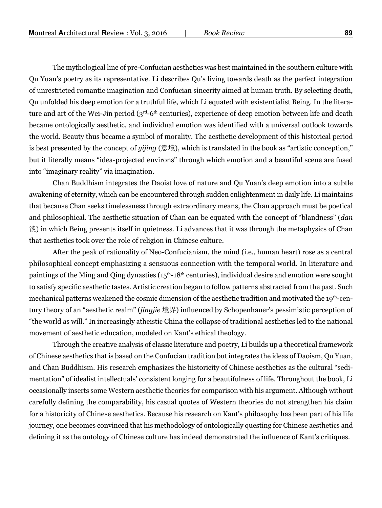The mythological line of pre-Confucian aesthetics was best maintained in the southern culture with Qu Yuan's poetry as its representative. Li describes Qu's living towards death as the perfect integration of unrestricted romantic imagination and Confucian sincerity aimed at human truth. By selecting death, Qu unfolded his deep emotion for a truthful life, which Li equated with existentialist Being. In the literature and art of the Wei-Jin period (3<sup>rd</sup>-6<sup>th</sup> centuries), experience of deep emotion between life and death became ontologically aesthetic, and individual emotion was identified with a universal outlook towards the world. Beauty thus became a symbol of morality. The aesthetic development of this historical period is best presented by the concept of *yijing* (意境), which is translated in the book as "artistic conception," but it literally means "idea-projected environs" through which emotion and a beautiful scene are fused into "imaginary reality" via imagination.

Chan Buddhism integrates the Daoist love of nature and Qu Yuan's deep emotion into a subtle awakening of eternity, which can be encountered through sudden enlightenment in daily life. Li maintains that because Chan seeks timelessness through extraordinary means, the Chan approach must be poetical and philosophical. The aesthetic situation of Chan can be equated with the concept of "blandness" (*dan* 淡) in which Being presents itself in quietness. Li advances that it was through the metaphysics of Chan that aesthetics took over the role of religion in Chinese culture.

After the peak of rationality of Neo-Confucianism, the mind (i.e., human heart) rose as a central philosophical concept emphasizing a sensuous connection with the temporal world. In literature and paintings of the Ming and Qing dynasties (15<sup>th</sup>-18<sup>th</sup> centuries), individual desire and emotion were sought to satisfy specific aesthetic tastes. Artistic creation began to follow patterns abstracted from the past. Such mechanical patterns weakened the cosmic dimension of the aesthetic tradition and motivated the 19th-century theory of an "aesthetic realm" (*jingjie* 境界) influenced by Schopenhauer's pessimistic perception of "the world as will." In increasingly atheistic China the collapse of traditional aesthetics led to the national movement of aesthetic education, modeled on Kant's ethical theology.

Through the creative analysis of classic literature and poetry, Li builds up a theoretical framework of Chinese aesthetics that is based on the Confucian tradition but integrates the ideas of Daoism, Qu Yuan, and Chan Buddhism. His research emphasizes the historicity of Chinese aesthetics as the cultural "sedimentation" of idealist intellectuals' consistent longing for a beautifulness of life. Throughout the book, Li occasionally inserts some Western aesthetic theories for comparison with his argument. Although without carefully defining the comparability, his casual quotes of Western theories do not strengthen his claim for a historicity of Chinese aesthetics. Because his research on Kant's philosophy has been part of his life journey, one becomes convinced that his methodology of ontologically questing for Chinese aesthetics and defining it as the ontology of Chinese culture has indeed demonstrated the influence of Kant's critiques.